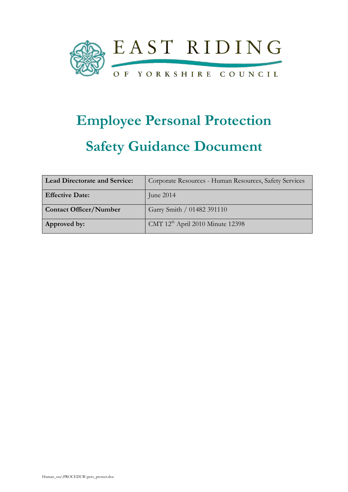

# Employee Personal Protection Safety Guidance Document

| <b>Lead Directorate and Service:</b> | Corporate Resources - Human Resources, Safety Services |
|--------------------------------------|--------------------------------------------------------|
| <b>Effective Date:</b>               | June $2014$                                            |
| <b>Contact Officer/Number</b>        | Garry Smith / 01482 391110                             |
| Approved by:                         | CMT 12 <sup>th</sup> April 2010 Minute 12398           |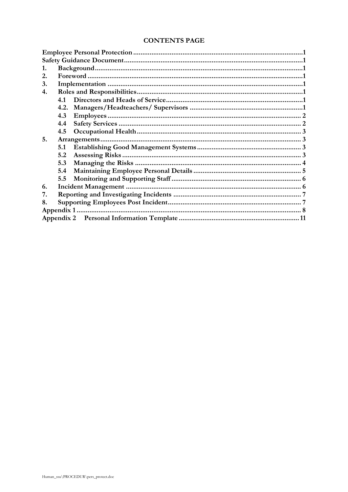| 3. |      |            |  |  |
|----|------|------------|--|--|
| 4. |      |            |  |  |
|    | 4.1  |            |  |  |
|    | 4.2. |            |  |  |
|    | 4.3  | Employees. |  |  |
|    | 4.4  |            |  |  |
|    | 4.5  |            |  |  |
| 5. |      |            |  |  |
|    | 5.1  |            |  |  |
|    | 5.2  |            |  |  |
|    | 5.3  |            |  |  |
|    | 5.4  |            |  |  |
|    | 5.5  |            |  |  |
| 6. |      |            |  |  |
| 7. |      |            |  |  |
| 8. |      |            |  |  |
|    |      |            |  |  |
|    |      |            |  |  |
|    |      |            |  |  |

#### **CONTENTS PAGE**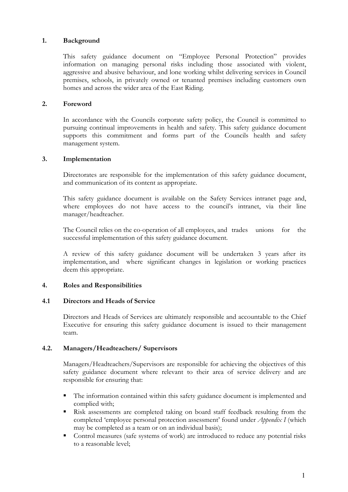#### 1. Background

This safety guidance document on "Employee Personal Protection" provides information on managing personal risks including those associated with violent, aggressive and abusive behaviour, and lone working whilst delivering services in Council premises, schools, in privately owned or tenanted premises including customers own homes and across the wider area of the East Riding.

#### 2. Foreword

 In accordance with the Councils corporate safety policy, the Council is committed to pursuing continual improvements in health and safety. This safety guidance document supports this commitment and forms part of the Councils health and safety management system.

#### 3. Implementation

 Directorates are responsible for the implementation of this safety guidance document, and communication of its content as appropriate.

 This safety guidance document is available on the Safety Services intranet page and, where employees do not have access to the council's intranet, via their line manager/headteacher.

 The Council relies on the co-operation of all employees, and trades unions for the successful implementation of this safety guidance document.

 A review of this safety guidance document will be undertaken 3 years after its implementation, and where significant changes in legislation or working practices deem this appropriate.

#### 4. Roles and Responsibilities

#### 4.1 Directors and Heads of Service

Directors and Heads of Services are ultimately responsible and accountable to the Chief Executive for ensuring this safety guidance document is issued to their management team.

#### 4.2. Managers/Headteachers/ Supervisors

 Managers/Headteachers/Supervisors are responsible for achieving the objectives of this safety guidance document where relevant to their area of service delivery and are responsible for ensuring that:

- The information contained within this safety guidance document is implemented and complied with;
- Risk assessments are completed taking on board staff feedback resulting from the completed 'employee personal protection assessment' found under *Appendix I* (which may be completed as a team or on an individual basis);
- Control measures (safe systems of work) are introduced to reduce any potential risks to a reasonable level;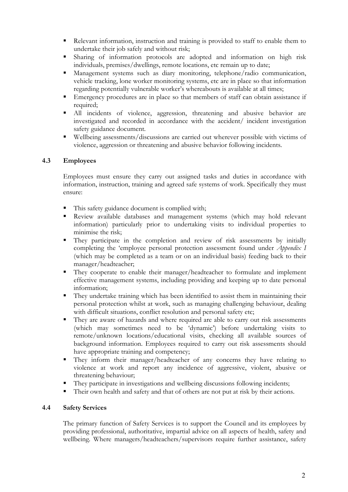- Relevant information, instruction and training is provided to staff to enable them to undertake their job safely and without risk;
- Sharing of information protocols are adopted and information on high risk individuals, premises/dwellings, remote locations, etc remain up to date;
- Management systems such as diary monitoring, telephone/radio communication, vehicle tracking, lone worker monitoring systems, etc are in place so that information regarding potentially vulnerable worker's whereabouts is available at all times;
- Emergency procedures are in place so that members of staff can obtain assistance if required;
- All incidents of violence, aggression, threatening and abusive behavior are investigated and recorded in accordance with the accident/ incident investigation safety guidance document.
- Wellbeing assessments/discussions are carried out wherever possible with victims of violence, aggression or threatening and abusive behavior following incidents.

# 4.3 Employees

Employees must ensure they carry out assigned tasks and duties in accordance with information, instruction, training and agreed safe systems of work. Specifically they must ensure:

- This safety guidance document is complied with;
- Review available databases and management systems (which may hold relevant information) particularly prior to undertaking visits to individual properties to minimise the risk;
- They participate in the completion and review of risk assessments by initially completing the 'employee personal protection assessment found under *Appendix I* (which may be completed as a team or on an individual basis) feeding back to their manager/headteacher;
- They cooperate to enable their manager/headteacher to formulate and implement effective management systems, including providing and keeping up to date personal information;
- They undertake training which has been identified to assist them in maintaining their personal protection whilst at work, such as managing challenging behaviour, dealing with difficult situations, conflict resolution and personal safety etc;
- They are aware of hazards and where required are able to carry out risk assessments (which may sometimes need to be 'dynamic') before undertaking visits to remote/unknown locations/educational visits, checking all available sources of background information. Employees required to carry out risk assessments should have appropriate training and competency;
- They inform their manager/headteacher of any concerns they have relating to violence at work and report any incidence of aggressive, violent, abusive or threatening behaviour;
- They participate in investigations and wellbeing discussions following incidents;
- Their own health and safety and that of others are not put at risk by their actions.

#### 4.4 Safety Services

 The primary function of Safety Services is to support the Council and its employees by providing professional, authoritative, impartial advice on all aspects of health, safety and wellbeing. Where managers/headteachers/supervisors require further assistance, safety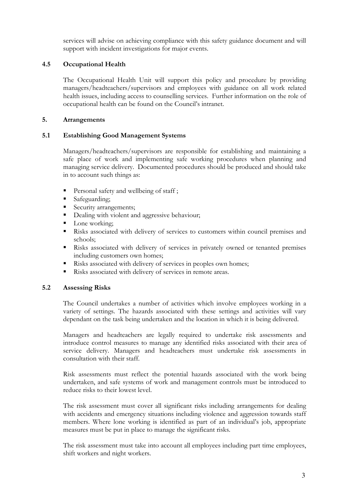services will advise on achieving compliance with this safety guidance document and will support with incident investigations for major events.

### 4.5 Occupational Health

 The Occupational Health Unit will support this policy and procedure by providing managers/headteachers/supervisors and employees with guidance on all work related health issues, including access to counselling services. Further information on the role of occupational health can be found on the Council's intranet.

#### 5. Arrangements

#### 5.1 Establishing Good Management Systems

 Managers/headteachers/supervisors are responsible for establishing and maintaining a safe place of work and implementing safe working procedures when planning and managing service delivery. Documented procedures should be produced and should take in to account such things as:

- Personal safety and wellbeing of staff;
- Safeguarding;
- Security arrangements;
- Dealing with violent and aggressive behaviour;
- Lone working;
- Risks associated with delivery of services to customers within council premises and schools;
- Risks associated with delivery of services in privately owned or tenanted premises including customers own homes;
- Risks associated with delivery of services in peoples own homes;
- Risks associated with delivery of services in remote areas.

#### 5.2 Assessing Risks

The Council undertakes a number of activities which involve employees working in a variety of settings. The hazards associated with these settings and activities will vary dependant on the task being undertaken and the location in which it is being delivered.

Managers and headteachers are legally required to undertake risk assessments and introduce control measures to manage any identified risks associated with their area of service delivery. Managers and headteachers must undertake risk assessments in consultation with their staff.

Risk assessments must reflect the potential hazards associated with the work being undertaken, and safe systems of work and management controls must be introduced to reduce risks to their lowest level.

 The risk assessment must cover all significant risks including arrangements for dealing with accidents and emergency situations including violence and aggression towards staff members. Where lone working is identified as part of an individual's job, appropriate measures must be put in place to manage the significant risks.

The risk assessment must take into account all employees including part time employees, shift workers and night workers.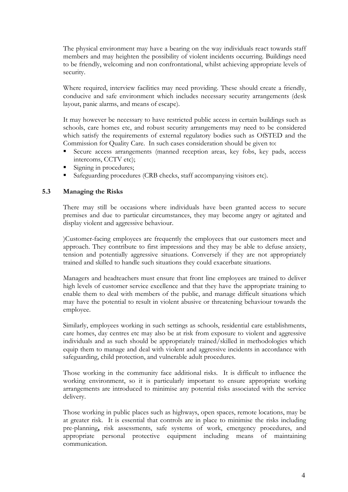The physical environment may have a bearing on the way individuals react towards staff members and may heighten the possibility of violent incidents occurring. Buildings need to be friendly, welcoming and non confrontational, whilst achieving appropriate levels of security.

Where required, interview facilities may need providing. These should create a friendly, conducive and safe environment which includes necessary security arrangements (desk layout, panic alarms, and means of escape).

It may however be necessary to have restricted public access in certain buildings such as schools, care homes etc, and robust security arrangements may need to be considered which satisfy the requirements of external regulatory bodies such as OfSTED and the Commission for Quality Care. In such cases consideration should be given to:

- Secure access arrangements (manned reception areas, key fobs, key pads, access intercoms, CCTV etc);
- Signing in procedures;
- Safeguarding procedures (CRB checks, staff accompanying visitors etc).

#### 5.3 Managing the Risks

 There may still be occasions where individuals have been granted access to secure premises and due to particular circumstances, they may become angry or agitated and display violent and aggressive behaviour.

)Customer-facing employees are frequently the employees that our customers meet and approach. They contribute to first impressions and they may be able to defuse anxiety, tension and potentially aggressive situations. Conversely if they are not appropriately trained and skilled to handle such situations they could exacerbate situations.

Managers and headteachers must ensure that front line employees are trained to deliver high levels of customer service excellence and that they have the appropriate training to enable them to deal with members of the public, and manage difficult situations which may have the potential to result in violent abusive or threatening behaviour towards the employee.

Similarly, employees working in such settings as schools, residential care establishments, care homes, day centres etc may also be at risk from exposure to violent and aggressive individuals and as such should be appropriately trained/skilled in methodologies which equip them to manage and deal with violent and aggressive incidents in accordance with safeguarding, child protection, and vulnerable adult procedures.

Those working in the community face additional risks. It is difficult to influence the working environment, so it is particularly important to ensure appropriate working arrangements are introduced to minimise any potential risks associated with the service delivery.

Those working in public places such as highways, open spaces, remote locations, may be at greater risk. It is essential that controls are in place to minimise the risks including pre-planning, risk assessments, safe systems of work, emergency procedures, and appropriate personal protective equipment including means of maintaining communication.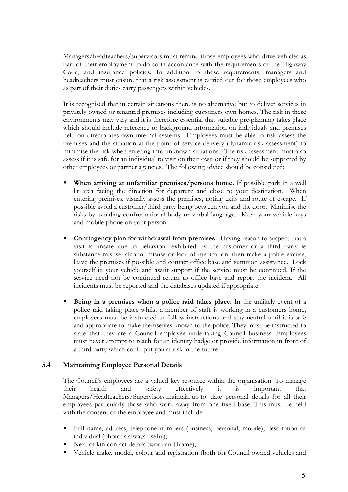Managers/headteachers/supervisors must remind those employees who drive vehicles as part of their employment to do so in accordance with the requirements of the Highway Code, and insurance policies. In addition to these requirements, managers and headteachers must ensure that a risk assessment is carried out for those employees who as part of their duties carry passengers within vehicles.

It is recognised that in certain situations there is no alternative but to deliver services in privately owned or tenanted premises including customers own homes. The risk in these environments may vary and it is therefore essential that suitable pre-planning takes place which should include reference to background information on individuals and premises held on directorates own internal systems. Employees must be able to risk assess the premises and the situation at the point of service delivery (dynamic risk assessment) to minimise the risk when entering into unknown situations. The risk assessment must also assess if it is safe for an individual to visit on their own or if they should be supported by other employees or partner agencies. The following advice should be considered:

- When arriving at unfamiliar premises/persons home. If possible park in a well lit area facing the direction for departure and close to your destination. When entering premises, visually assess the premises, noting exits and route of escape. If possible avoid a customer/third party being between you and the door. Minimise the risks by avoiding confrontational body or verbal language. Keep your vehicle keys and mobile phone on your person.
- Contingency plan for withdrawal from premises. Having reason to suspect that a visit is unsafe due to behaviour exhibited by the customer or a third party ie substance misuse, alcohol misuse or lack of medication, then make a polite excuse, leave the premises if possible and contact office base and summon assistance. Lock yourself in your vehicle and await support if the service must be continued. If the service need not be continued return to office base and report the incident. All incidents must be reported and the databases updated if appropriate.
- Being in a premises when a police raid takes place. In the unlikely event of a police raid taking place whilst a member of staff is working in a customers home, employees must be instructed to follow instructions and stay neutral until it is safe and appropriate to make themselves known to the police. They must be instructed to state that they are a Council employee undertaking Council business. Employees must never attempt to reach for an identity badge or provide information in front of a third party which could put you at risk in the future.

#### 5.4 Maintaining Employee Personal Details

The Council's employees are a valued key resource within the organisation. To manage their health and safety effectively it is important that Managers/Headteachers/Supervisors maintain up to date personal details for all their employees particularly those who work away from one fixed base. This must be held with the consent of the employee and must include:

- Full name, address, telephone numbers (business, personal, mobile), description of individual (photo is always useful);
- Next of kin contact details (work and home);
- Vehicle make, model, colour and registration (both for Council owned vehicles and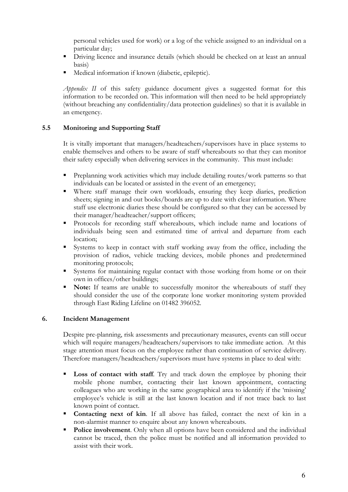personal vehicles used for work) or a log of the vehicle assigned to an individual on a particular day;

- Driving licence and insurance details (which should be checked on at least an annual basis)
- **Medical information if known (diabetic, epileptic).**

Appendix II of this safety guidance document gives a suggested format for this information to be recorded on. This information will then need to be held appropriately (without breaching any confidentiality/data protection guidelines) so that it is available in an emergency.

# 5.5 Monitoring and Supporting Staff

 It is vitally important that managers/headteachers/supervisors have in place systems to enable themselves and others to be aware of staff whereabouts so that they can monitor their safety especially when delivering services in the community. This must include:

- Preplanning work activities which may include detailing routes/work patterns so that individuals can be located or assisted in the event of an emergency;
- Where staff manage their own workloads, ensuring they keep diaries, prediction sheets; signing in and out books/boards are up to date with clear information. Where staff use electronic diaries these should be configured so that they can be accessed by their manager/headteacher/support officers;
- Protocols for recording staff whereabouts, which include name and locations of individuals being seen and estimated time of arrival and departure from each location;
- Systems to keep in contact with staff working away from the office, including the provision of radios, vehicle tracking devices, mobile phones and predetermined monitoring protocols;
- Systems for maintaining regular contact with those working from home or on their own in offices/other buildings;
- Note: If teams are unable to successfully monitor the whereabouts of staff they should consider the use of the corporate lone worker monitoring system provided through East Riding Lifeline on 01482 396052.

# 6. Incident Management

 Despite pre-planning, risk assessments and precautionary measures, events can still occur which will require managers/headteachers/supervisors to take immediate action. At this stage attention must focus on the employee rather than continuation of service delivery. Therefore managers/headteachers/supervisors must have systems in place to deal with:

- Loss of contact with staff. Try and track down the employee by phoning their mobile phone number, contacting their last known appointment, contacting colleagues who are working in the same geographical area to identify if the 'missing' employee's vehicle is still at the last known location and if not trace back to last known point of contact.
- Contacting next of kin. If all above has failed, contact the next of kin in a non-alarmist manner to enquire about any known whereabouts.
- Police involvement. Only when all options have been considered and the individual cannot be traced, then the police must be notified and all information provided to assist with their work.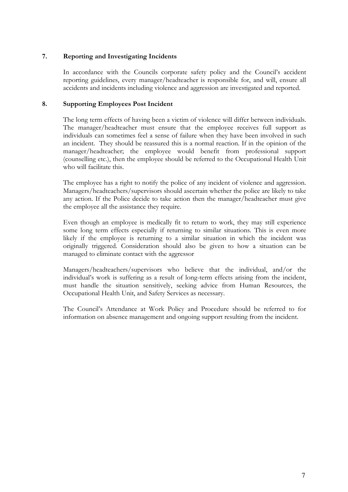#### 7. Reporting and Investigating Incidents

 In accordance with the Councils corporate safety policy and the Council's accident reporting guidelines, every manager/headteacher is responsible for, and will, ensure all accidents and incidents including violence and aggression are investigated and reported.

#### 8. Supporting Employees Post Incident

 The long term effects of having been a victim of violence will differ between individuals. The manager/headteacher must ensure that the employee receives full support as individuals can sometimes feel a sense of failure when they have been involved in such an incident. They should be reassured this is a normal reaction. If in the opinion of the manager/headteacher; the employee would benefit from professional support (counselling etc.), then the employee should be referred to the Occupational Health Unit who will facilitate this.

 The employee has a right to notify the police of any incident of violence and aggression. Managers/headteachers/supervisors should ascertain whether the police are likely to take any action. If the Police decide to take action then the manager/headteacher must give the employee all the assistance they require.

 Even though an employee is medically fit to return to work, they may still experience some long term effects especially if returning to similar situations. This is even more likely if the employee is returning to a similar situation in which the incident was originally triggered. Consideration should also be given to how a situation can be managed to eliminate contact with the aggressor

 Managers/headteachers/supervisors who believe that the individual, and/or the individual's work is suffering as a result of long-term effects arising from the incident, must handle the situation sensitively, seeking advice from Human Resources, the Occupational Health Unit, and Safety Services as necessary.

 The Council's Attendance at Work Policy and Procedure should be referred to for information on absence management and ongoing support resulting from the incident.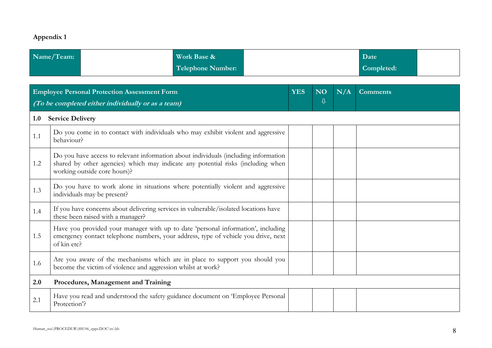# Appendix 1

| Name/Team: | Work Base &       | Date       |  |
|------------|-------------------|------------|--|
|            | Telephone Number: | Completed: |  |

|     | <b>Employee Personal Protection Assessment Form</b><br>(To be completed either individually or as a team)                                                                                               |  |  | N/A | <b>Comments</b> |  |
|-----|---------------------------------------------------------------------------------------------------------------------------------------------------------------------------------------------------------|--|--|-----|-----------------|--|
| 1.0 | <b>Service Delivery</b>                                                                                                                                                                                 |  |  |     |                 |  |
| 1.1 | Do you come in to contact with individuals who may exhibit violent and aggressive<br>behaviour?                                                                                                         |  |  |     |                 |  |
| 1.2 | Do you have access to relevant information about individuals (including information<br>shared by other agencies) which may indicate any potential risks (including when<br>working outside core hours)? |  |  |     |                 |  |
| 1.3 | Do you have to work alone in situations where potentially violent and aggressive<br>individuals may be present?                                                                                         |  |  |     |                 |  |
| 1.4 | If you have concerns about delivering services in vulnerable/isolated locations have<br>these been raised with a manager?                                                                               |  |  |     |                 |  |
| 1.5 | Have you provided your manager with up to date 'personal information', including<br>emergency contact telephone numbers, your address, type of vehicle you drive, next<br>of kin etc?                   |  |  |     |                 |  |
| 1.6 | Are you aware of the mechanisms which are in place to support you should you<br>become the victim of violence and aggression whilst at work?                                                            |  |  |     |                 |  |
| 2.0 | Procedures, Management and Training                                                                                                                                                                     |  |  |     |                 |  |
| 2.1 | Have you read and understood the safety guidance document on 'Employee Personal<br>Protection?                                                                                                          |  |  |     |                 |  |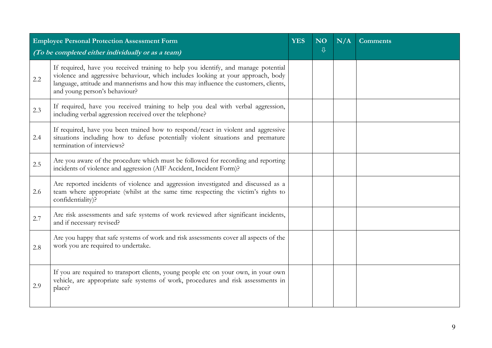|         | <b>Employee Personal Protection Assessment Form</b>                                                                                                                                                                                                                                             |  | N <sub>O</sub><br>⇩ | N/A | <b>Comments</b> |
|---------|-------------------------------------------------------------------------------------------------------------------------------------------------------------------------------------------------------------------------------------------------------------------------------------------------|--|---------------------|-----|-----------------|
|         | (To be completed either individually or as a team)                                                                                                                                                                                                                                              |  |                     |     |                 |
| $2.2\,$ | If required, have you received training to help you identify, and manage potential<br>violence and aggressive behaviour, which includes looking at your approach, body<br>language, attitude and mannerisms and how this may influence the customers, clients,<br>and young person's behaviour? |  |                     |     |                 |
| 2.3     | If required, have you received training to help you deal with verbal aggression,<br>including verbal aggression received over the telephone?                                                                                                                                                    |  |                     |     |                 |
| 2.4     | If required, have you been trained how to respond/react in violent and aggressive<br>situations including how to defuse potentially violent situations and premature<br>termination of interviews?                                                                                              |  |                     |     |                 |
| 2.5     | Are you aware of the procedure which must be followed for recording and reporting<br>incidents of violence and aggression (AIF Accident, Incident Form)?                                                                                                                                        |  |                     |     |                 |
| 2.6     | Are reported incidents of violence and aggression investigated and discussed as a<br>team where appropriate (whilst at the same time respecting the victim's rights to<br>confidentiality)?                                                                                                     |  |                     |     |                 |
| 2.7     | Are risk assessments and safe systems of work reviewed after significant incidents,<br>and if necessary revised?                                                                                                                                                                                |  |                     |     |                 |
| 2.8     | Are you happy that safe systems of work and risk assessments cover all aspects of the<br>work you are required to undertake.                                                                                                                                                                    |  |                     |     |                 |
| 2.9     | If you are required to transport clients, young people etc on your own, in your own<br>vehicle, are appropriate safe systems of work, procedures and risk assessments in<br>place?                                                                                                              |  |                     |     |                 |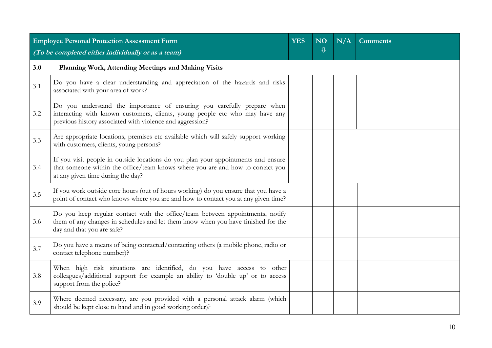|     | <b>Employee Personal Protection Assessment Form</b>                                                                                                                                                                  |  |  | N/A | <b>Comments</b> |  |
|-----|----------------------------------------------------------------------------------------------------------------------------------------------------------------------------------------------------------------------|--|--|-----|-----------------|--|
|     | $\overline{\psi}$<br>(To be completed either individually or as a team)                                                                                                                                              |  |  |     |                 |  |
| 3.0 | Planning Work, Attending Meetings and Making Visits                                                                                                                                                                  |  |  |     |                 |  |
| 3.1 | Do you have a clear understanding and appreciation of the hazards and risks<br>associated with your area of work?                                                                                                    |  |  |     |                 |  |
| 3.2 | Do you understand the importance of ensuring you carefully prepare when<br>interacting with known customers, clients, young people etc who may have any<br>previous history associated with violence and aggression? |  |  |     |                 |  |
| 3.3 | Are appropriate locations, premises etc available which will safely support working<br>with customers, clients, young persons?                                                                                       |  |  |     |                 |  |
| 3.4 | If you visit people in outside locations do you plan your appointments and ensure<br>that someone within the office/team knows where you are and how to contact you<br>at any given time during the day?             |  |  |     |                 |  |
| 3.5 | If you work outside core hours (out of hours working) do you ensure that you have a<br>point of contact who knows where you are and how to contact you at any given time?                                            |  |  |     |                 |  |
| 3.6 | Do you keep regular contact with the office/team between appointments, notify<br>them of any changes in schedules and let them know when you have finished for the<br>day and that you are safe?                     |  |  |     |                 |  |
| 3.7 | Do you have a means of being contacted/contacting others (a mobile phone, radio or<br>contact telephone number)?                                                                                                     |  |  |     |                 |  |
| 3.8 | When high risk situations are identified, do you have access to other<br>colleagues/additional support for example an ability to 'double up' or to access<br>support from the police?                                |  |  |     |                 |  |
| 3.9 | Where deemed necessary, are you provided with a personal attack alarm (which<br>should be kept close to hand and in good working order)?                                                                             |  |  |     |                 |  |